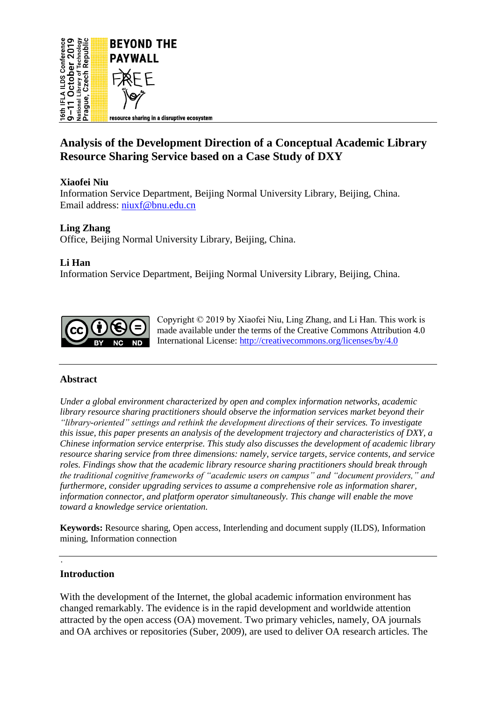

# **Analysis of the Development Direction of a Conceptual Academic Library Resource Sharing Service based on a Case Study of DXY**

# **Xiaofei Niu**

Information Service Department, Beijing Normal University Library, Beijing, China. Email address: [niuxf@bnu.edu.cn](mailto:niuxf@bnu.edu.cn) 

# **Ling Zhang**

Office, Beijing Normal University Library, Beijing, China.

# **Li Han**

Information Service Department, Beijing Normal University Library, Beijing, China.



Copyright © 2019 by Xiaofei Niu, Ling Zhang, and Li Han. This work is made available under the terms of the Creative Commons Attribution 4.0 International License:<http://creativecommons.org/licenses/by/4.0>

# **Abstract**

*Under a global environment characterized by open and complex information networks, academic library resource sharing practitioners should observe the information services market beyond their "library-oriented" settings and rethink the development directions of their services. To investigate this issue, this paper presents an analysis of the development trajectory and characteristics of DXY, a Chinese information service enterprise. This study also discusses the development of academic library resource sharing service from three dimensions: namely, service targets, service contents, and service roles. Findings show that the academic library resource sharing practitioners should break through the traditional cognitive frameworks of "academic users on campus" and "document providers," and furthermore, consider upgrading services to assume a comprehensive role as information sharer, information connector, and platform operator simultaneously. This change will enable the move toward a knowledge service orientation.* 

**Keywords:** Resource sharing, Open access, Interlending and document supply (ILDS), Information mining, Information connection

### **Introduction**

·

With the development of the Internet, the global academic information environment has changed remarkably. The evidence is in the rapid development and worldwide attention attracted by the open access (OA) movement. Two primary vehicles, namely, OA journals and OA archives or repositories (Suber, 2009), are used to deliver OA research articles. The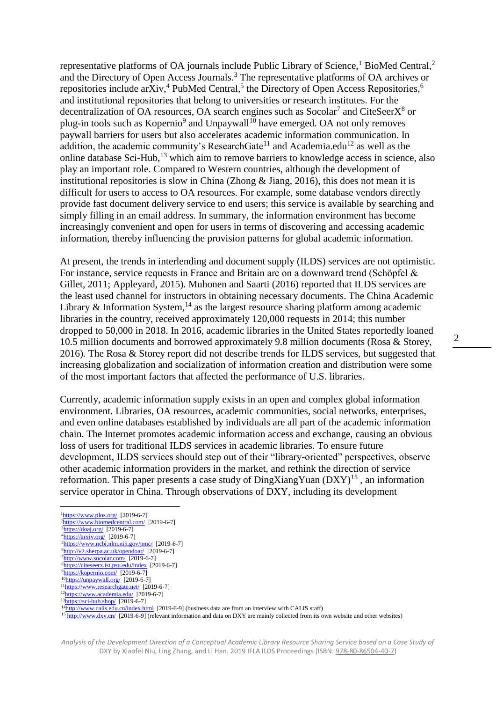representative platforms of OA journals include Public Library of Science,  $\frac{1}{2}$  BioMed Central,  $\frac{2}{3}$ and the Directory of Open Access Journals.<sup>3</sup> The representative platforms of OA archives or repositories include arXiv,<sup>4</sup> PubMed Central,<sup>5</sup> the Directory of Open Access Repositories,<sup>6</sup> and institutional repositories that belong to universities or research institutes. For the decentralization of OA resources, OA search engines such as  $Socolar<sup>7</sup>$  and CiteSeer $X<sup>8</sup>$  or plug-in tools such as Kopernio<sup>9</sup> and Unpaywall<sup>10</sup> have emerged. OA not only removes paywall barriers for users but also accelerates academic information communication. In addition, the academic community's ResearchGate<sup>11</sup> and Academia.edu<sup>12</sup> as well as the online database Sci-Hub, $^{13}$  which aim to remove barriers to knowledge access in science, also play an important role. Compared to Western countries, although the development of institutional repositories is slow in China (Zhong & Jiang, 2016), this does not mean it is difficult for users to access to OA resources. For example, some database vendors directly provide fast document delivery service to end users; this service is available by searching and simply filling in an email address. In summary, the information environment has become increasingly convenient and open for users in terms of discovering and accessing academic information, thereby influencing the provision patterns for global academic information.

At present, the trends in interlending and document supply (ILDS) services are not optimistic. For instance, service requests in France and Britain are on a downward trend (Schöpfel & Gillet, 2011; Appleyard, 2015). Muhonen and Saarti (2016) reported that ILDS services are the least used channel for instructors in obtaining necessary documents. The China Academic Library & Information System,<sup>14</sup> as the largest resource sharing platform among academic libraries in the country, received approximately 120,000 requests in 2014; this number dropped to 50,000 in 2018. In 2016, academic libraries in the United States reportedly loaned 10.5 million documents and borrowed approximately 9.8 million documents (Rosa & Storey, 2016). The Rosa & Storey report did not describe trends for ILDS services, but suggested that increasing globalization and socialization of information creation and distribution were some of the most important factors that affected the performance of U.S. libraries.

Currently, academic information supply exists in an open and complex global information environment. Libraries, OA resources, academic communities, social networks, enterprises, and even online databases established by individuals are all part of the academic information chain. The Internet promotes academic information access and exchange, causing an obvious loss of users for traditional ILDS services in academic libraries. To ensure future development, ILDS services should step out of their "library-oriented" perspectives, observe other academic information providers in the market, and rethink the direction of service reformation. This paper presents a case study of DingXiangYuan (DXY)<sup>15</sup>, an information service operator in China. Through observations of DXY, including its development

<sup>15</sup> <http://www.dxy.cn/>[2019-6-9] (relevant information and data on DXY are mainly collected from its own website and other websites)

*Analysis of the Development Direction of a Conceptual Academic Library Resource Sharing Service based on a Case Study of*  DXY by Xiaofei Niu, Ling Zhang, and Li Han. 2019 IFLA ILDS Proceedings (ISBN: [978-80-86504-40-7\)](https://www.techlib.cz/en/84026)

<sup>&</sup>lt;u>.</u>  $<sup>1</sup>$ <https://www.plos.org/>[2019-6-7]</sup>

<sup>&</sup>lt;sup>2</sup><https://www.biomedcentral.com/>[2019-6-7]

<sup>3</sup><https://doaj.org/>[2019-6-7]

<sup>&</sup>lt;sup>4</sup><https://arxiv.org/>[2019-6-7]

<sup>5</sup><https://www.ncbi.nlm.nih.gov/pmc/>[2019-6-7] <sup>6</sup><http://v2.sherpa.ac.uk/opendoar/>[2019-6-7]

<sup>7</sup><http://www.socolar.com/>[2019-6-7]

<sup>8</sup><https://citeseerx.ist.psu.edu/index>[2019-6-7]

<sup>9</sup><https://kopernio.com/>[2019-6-7]

 $10$ <sub>https://unpaywall.org/</sub> [2019-6-7]

 $\frac{11 \text{https://www.researchgate.net/}}{11 \text{https://www.researchgate.net/}}$  [2019-6-7]  $12$ <https://www.academia.edu/>[2019-6-7]

 $\frac{13}{\text{https://sci-hub.shop/} [2019-6-7]}$ 

<sup>&</sup>lt;sup>14</sup><http://www.calis.edu.cn/index.html>[2019-6-9] (business data are from an interview with CALIS staff)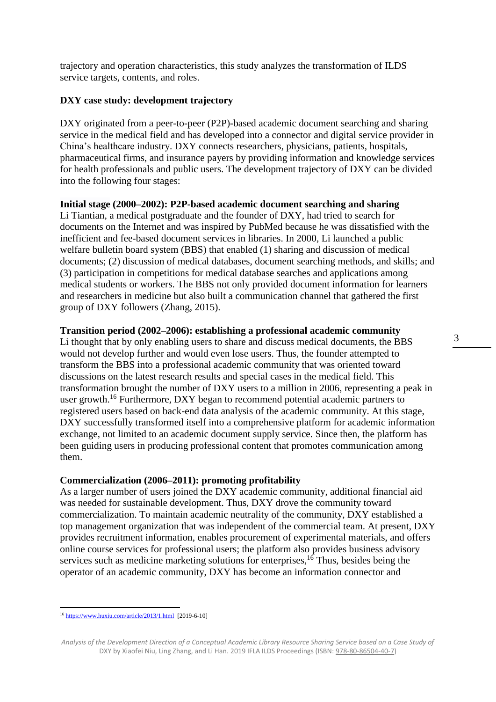trajectory and operation characteristics, this study analyzes the transformation of ILDS service targets, contents, and roles.

### **DXY case study: development trajectory**

DXY originated from a peer-to-peer (P2P)-based academic document searching and sharing service in the medical field and has developed into a connector and digital service provider in China's healthcare industry. DXY connects researchers, physicians, patients, hospitals, pharmaceutical firms, and insurance payers by providing information and knowledge services for health professionals and public users. The development trajectory of DXY can be divided into the following four stages:

### **Initial stage (2000–2002): P2P-based academic document searching and sharing**

Li Tiantian, a medical postgraduate and the founder of DXY, had tried to search for documents on the Internet and was inspired by PubMed because he was dissatisfied with the inefficient and fee-based document services in libraries. In 2000, Li launched a public welfare bulletin board system (BBS) that enabled (1) sharing and discussion of medical documents; (2) discussion of medical databases, document searching methods, and skills; and (3) participation in competitions for medical database searches and applications among medical students or workers. The BBS not only provided document information for learners and researchers in medicine but also built a communication channel that gathered the first group of DXY followers (Zhang, 2015).

### **Transition period (2002–2006): establishing a professional academic community**

Li thought that by only enabling users to share and discuss medical documents, the BBS would not develop further and would even lose users. Thus, the founder attempted to transform the BBS into a professional academic community that was oriented toward discussions on the latest research results and special cases in the medical field. This transformation brought the number of DXY users to a million in 2006, representing a peak in user growth.<sup>16</sup> Furthermore, DXY began to recommend potential academic partners to registered users based on back-end data analysis of the academic community. At this stage, DXY successfully transformed itself into a comprehensive platform for academic information exchange, not limited to an academic document supply service. Since then, the platform has been guiding users in producing professional content that promotes communication among them.

#### **Commercialization (2006–2011): promoting profitability**

As a larger number of users joined the DXY academic community, additional financial aid was needed for sustainable development. Thus, DXY drove the community toward commercialization. To maintain academic neutrality of the community, DXY established a top management organization that was independent of the commercial team. At present, DXY provides recruitment information, enables procurement of experimental materials, and offers online course services for professional users; the platform also provides business advisory services such as medicine marketing solutions for enterprises,<sup>16</sup> Thus, besides being the operator of an academic community, DXY has become an information connector and

1

<sup>&</sup>lt;sup>16</sup> <https://www.huxiu.com/article/2013/1.html>[2019-6-10]

*Analysis of the Development Direction of a Conceptual Academic Library Resource Sharing Service based on a Case Study of*  DXY by Xiaofei Niu, Ling Zhang, and Li Han. 2019 IFLA ILDS Proceedings (ISBN: [978-80-86504-40-7\)](https://www.techlib.cz/en/84026)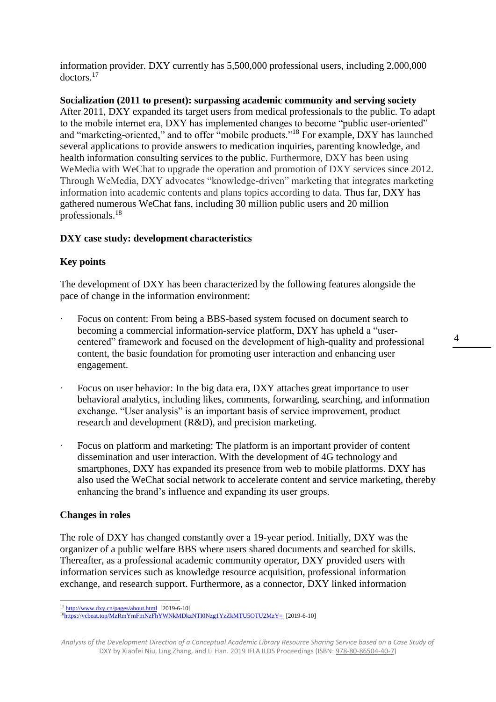information provider. DXY currently has 5,500,000 professional users, including 2,000,000 doctors.<sup>17</sup>

**Socialization (2011 to present): surpassing academic community and serving society**  After 2011, DXY expanded its target users from medical professionals to the public. To adapt to the mobile internet era, DXY has implemented changes to become "public user-oriented" and "marketing-oriented," and to offer "mobile products."<sup>18</sup> For example, DXY has launched several applications to provide answers to medication inquiries, parenting knowledge, and health information consulting services to the public. Furthermore, DXY has been using WeMedia with WeChat to upgrade the operation and promotion of DXY services since 2012. Through WeMedia, DXY advocates "knowledge-driven" marketing that integrates marketing information into academic contents and plans topics according to data. Thus far, DXY has gathered numerous WeChat fans, including 30 million public users and 20 million professionals.<sup>18</sup>

### **DXY case study: development characteristics**

### **Key points**

The development of DXY has been characterized by the following features alongside the pace of change in the information environment:

- Focus on content: From being a BBS-based system focused on document search to becoming a commercial information-service platform, DXY has upheld a "usercentered" framework and focused on the development of high-quality and professional content, the basic foundation for promoting user interaction and enhancing user engagement.
- Focus on user behavior: In the big data era, DXY attaches great importance to user behavioral analytics, including likes, comments, forwarding, searching, and information exchange. "User analysis" is an important basis of service improvement, product research and development (R&D), and precision marketing.
- Focus on platform and marketing: The platform is an important provider of content dissemination and user interaction. With the development of 4G technology and smartphones, DXY has expanded its presence from web to mobile platforms. DXY has also used the WeChat social network to accelerate content and service marketing, thereby enhancing the brand's influence and expanding its user groups.

### **Changes in roles**

The role of DXY has changed constantly over a 19-year period. Initially, DXY was the organizer of a public welfare BBS where users shared documents and searched for skills. Thereafter, as a professional academic community operator, DXY provided users with information services such as knowledge resource acquisition, professional information exchange, and research support. Furthermore, as a connector, DXY linked information

1  $17$  <http://www.dxy.cn/pages/about.html>[2019-6-10]

<sup>18</sup><https://vcbeat.top/MzRmYmFmNzFhYWNkMDkzNTI0Nzg1YzZkMTU5OTU2MzY=> [2019-6-10]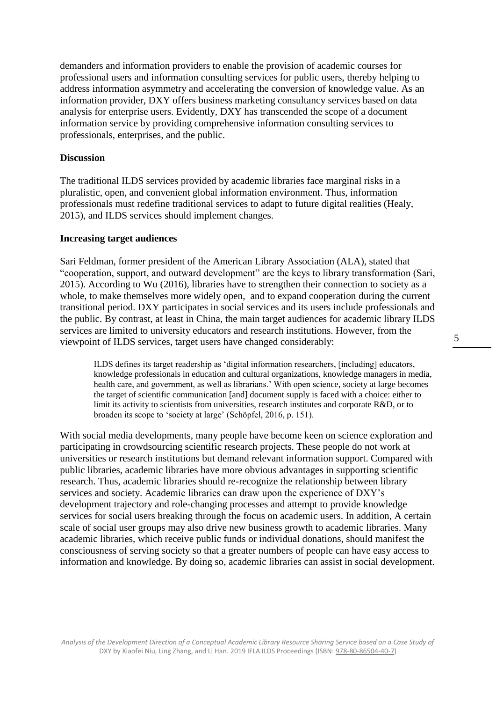demanders and information providers to enable the provision of academic courses for professional users and information consulting services for public users, thereby helping to address information asymmetry and accelerating the conversion of knowledge value. As an information provider, DXY offers business marketing consultancy services based on data analysis for enterprise users. Evidently, DXY has transcended the scope of a document information service by providing comprehensive information consulting services to professionals, enterprises, and the public.

#### **Discussion**

The traditional ILDS services provided by academic libraries face marginal risks in a pluralistic, open, and convenient global information environment. Thus, information professionals must redefine traditional services to adapt to future digital realities (Healy, 2015), and ILDS services should implement changes.

#### **Increasing target audiences**

Sari Feldman, former president of the American Library Association (ALA), stated that "cooperation, support, and outward development" are the keys to library transformation (Sari, 2015). According to Wu (2016), libraries have to strengthen their connection to society as a whole, to make themselves more widely open, and to expand cooperation during the current transitional period. DXY participates in social services and its users include professionals and the public. By contrast, at least in China, the main target audiences for academic library ILDS services are limited to university educators and research institutions. However, from the viewpoint of ILDS services, target users have changed considerably:

ILDS defines its target readership as 'digital information researchers, [including] educators, knowledge professionals in education and cultural organizations, knowledge managers in media, health care, and government, as well as librarians.' With open science, society at large becomes the target of scientific communication [and] document supply is faced with a choice: either to limit its activity to scientists from universities, research institutes and corporate R&D, or to broaden its scope to 'society at large' (Schöpfel, 2016, p. 151).

With social media developments, many people have become keen on science exploration and participating in crowdsourcing scientific research projects. These people do not work at universities or research institutions but demand relevant information support. Compared with public libraries, academic libraries have more obvious advantages in supporting scientific research. Thus, academic libraries should re-recognize the relationship between library services and society. Academic libraries can draw upon the experience of DXY's development trajectory and role-changing processes and attempt to provide knowledge services for social users breaking through the focus on academic users. In addition, A certain scale of social user groups may also drive new business growth to academic libraries. Many academic libraries, which receive public funds or individual donations, should manifest the consciousness of serving society so that a greater numbers of people can have easy access to information and knowledge. By doing so, academic libraries can assist in social development.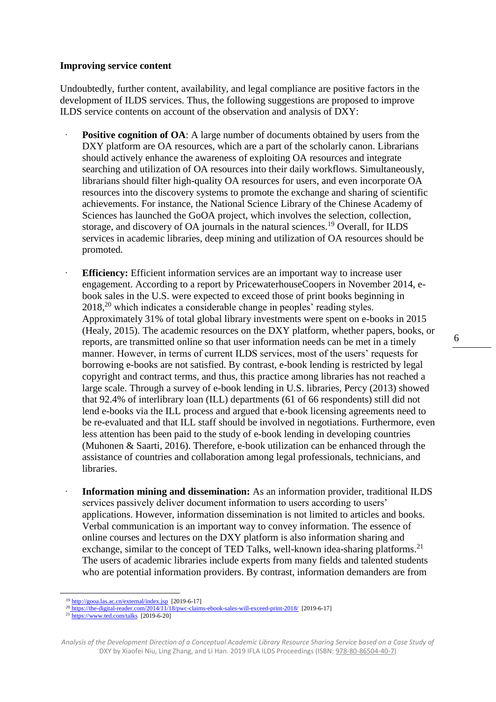#### **Improving service content**

Undoubtedly, further content, availability, and legal compliance are positive factors in the development of ILDS services. Thus, the following suggestions are proposed to improve ILDS service contents on account of the observation and analysis of DXY:

- **Positive cognition of OA**: A large number of documents obtained by users from the DXY platform are OA resources, which are a part of the scholarly canon. Librarians should actively enhance the awareness of exploiting OA resources and integrate searching and utilization of OA resources into their daily workflows. Simultaneously, librarians should filter high-quality OA resources for users, and even incorporate OA resources into the discovery systems to promote the exchange and sharing of scientific achievements. For instance, the National Science Library of the Chinese Academy of Sciences has launched the GoOA project, which involves the selection, collection, storage, and discovery of OA journals in the natural sciences.<sup>19</sup> Overall, for ILDS services in academic libraries, deep mining and utilization of OA resources should be promoted.
	- **Efficiency:** Efficient information services are an important way to increase user engagement. According to a report by PricewaterhouseCoopers in November 2014, ebook sales in the U.S. were expected to exceed those of print books beginning in 2018,<sup>20</sup> which indicates a considerable change in peoples' reading styles. Approximately 31% of total global library investments were spent on e-books in 2015 (Healy, 2015). The academic resources on the DXY platform, whether papers, books, or reports, are transmitted online so that user information needs can be met in a timely manner. However, in terms of current ILDS services, most of the users' requests for borrowing e-books are not satisfied. By contrast, e-book lending is restricted by legal copyright and contract terms, and thus, this practice among libraries has not reached a large scale. Through a survey of e-book lending in U.S. libraries, Percy (2013) showed that 92.4% of interlibrary loan (ILL) departments (61 of 66 respondents) still did not lend e-books via the ILL process and argued that e-book licensing agreements need to be re-evaluated and that ILL staff should be involved in negotiations. Furthermore, even less attention has been paid to the study of e-book lending in developing countries (Muhonen & Saarti, 2016). Therefore, e-book utilization can be enhanced through the assistance of countries and collaboration among legal professionals, technicians, and libraries.
	- **Information mining and dissemination:** As an information provider, traditional ILDS services passively deliver document information to users according to users' applications. However, information dissemination is not limited to articles and books. Verbal communication is an important way to convey information. The essence of online courses and lectures on the DXY platform is also information sharing and exchange, similar to the concept of TED Talks, well-known idea-sharing platforms.<sup>21</sup> The users of academic libraries include experts from many fields and talented students who are potential information providers. By contrast, information demanders are from

<u>.</u>

<sup>19</sup> <http://gooa.las.ac.cn/external/index.jsp>[2019-6-17]

 $^{20}$  <https://the-digital-reader.com/2014/11/18/pwc-claims-ebook-sales-will-exceed-print-2018/>[2019-6-17]

 $21 \frac{\text{https://www.ted.com/talks}}{\text{https://www.ted.com/talks}}$  [2019-6-20]

*Analysis of the Development Direction of a Conceptual Academic Library Resource Sharing Service based on a Case Study of*  DXY by Xiaofei Niu, Ling Zhang, and Li Han. 2019 IFLA ILDS Proceedings (ISBN: [978-80-86504-40-7\)](https://www.techlib.cz/en/84026)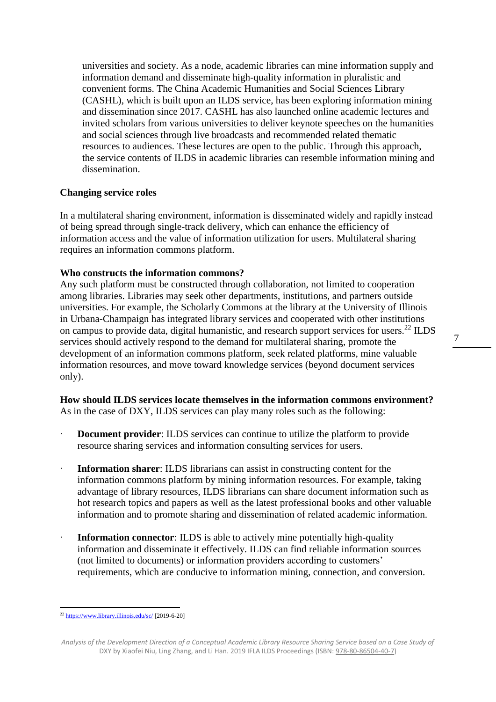universities and society. As a node, academic libraries can mine information supply and information demand and disseminate high-quality information in pluralistic and convenient forms. The China Academic Humanities and Social Sciences Library (CASHL), which is built upon an ILDS service, has been exploring information mining and dissemination since 2017. CASHL has also launched online academic lectures and invited scholars from various universities to deliver keynote speeches on the humanities and social sciences through live broadcasts and recommended related thematic resources to audiences. These lectures are open to the public. Through this approach, the service contents of ILDS in academic libraries can resemble information mining and dissemination.

### **Changing service roles**

In a multilateral sharing environment, information is disseminated widely and rapidly instead of being spread through single-track delivery, which can enhance the efficiency of information access and the value of information utilization for users. Multilateral sharing requires an information commons platform.

#### **Who constructs the information commons?**

Any such platform must be constructed through collaboration, not limited to cooperation among libraries. Libraries may seek other departments, institutions, and partners outside universities. For example, the Scholarly Commons at the library at the University of Illinois in Urbana-Champaign has integrated library services and cooperated with other institutions on campus to provide data, digital humanistic, and research support services for users.<sup>22</sup> ILDS services should actively respond to the demand for multilateral sharing, promote the development of an information commons platform, seek related platforms, mine valuable information resources, and move toward knowledge services (beyond document services only).

7

**How should ILDS services locate themselves in the information commons environment?** As in the case of DXY, ILDS services can play many roles such as the following:

- **Document provider:** ILDS services can continue to utilize the platform to provide resource sharing services and information consulting services for users.
- **Information sharer:** ILDS librarians can assist in constructing content for the information commons platform by mining information resources. For example, taking advantage of library resources, ILDS librarians can share document information such as hot research topics and papers as well as the latest professional books and other valuable information and to promote sharing and dissemination of related academic information.
- **Information connector:** ILDS is able to actively mine potentially high-quality information and disseminate it effectively. ILDS can find reliable information sources (not limited to documents) or information providers according to customers' requirements, which are conducive to information mining, connection, and conversion.

<sup>1</sup> <sup>22</sup> <https://www.library.illinois.edu/sc/> [2019-6-20]

*Analysis of the Development Direction of a Conceptual Academic Library Resource Sharing Service based on a Case Study of*  DXY by Xiaofei Niu, Ling Zhang, and Li Han. 2019 IFLA ILDS Proceedings (ISBN: [978-80-86504-40-7\)](https://www.techlib.cz/en/84026)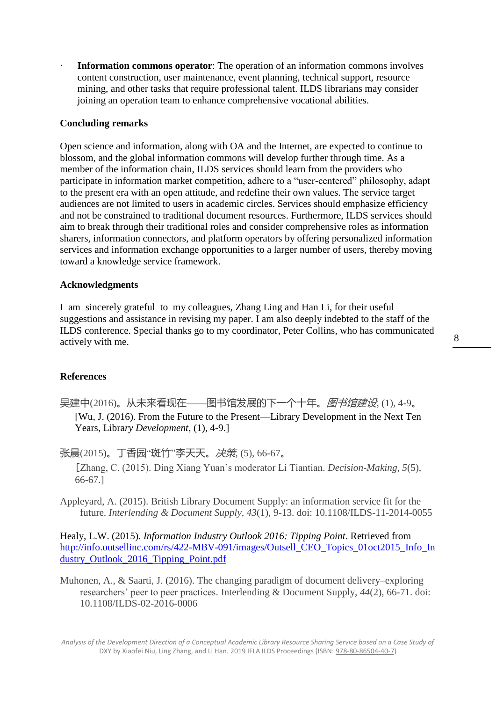**Information commons operator**: The operation of an information commons involves content construction, user maintenance, event planning, technical support, resource mining, and other tasks that require professional talent. ILDS librarians may consider joining an operation team to enhance comprehensive vocational abilities.

### **Concluding remarks**

Open science and information, along with OA and the Internet, are expected to continue to blossom, and the global information commons will develop further through time. As a member of the information chain, ILDS services should learn from the providers who participate in information market competition, adhere to a "user-centered" philosophy, adapt to the present era with an open attitude, and redefine their own values. The service target audiences are not limited to users in academic circles. Services should emphasize efficiency and not be constrained to traditional document resources. Furthermore, ILDS services should aim to break through their traditional roles and consider comprehensive roles as information sharers, information connectors, and platform operators by offering personalized information services and information exchange opportunities to a larger number of users, thereby moving toward a knowledge service framework.

#### **Acknowledgments**

I am sincerely grateful to my colleagues, Zhang Ling and Han Li, for their useful suggestions and assistance in revising my paper. I am also deeply indebted to the staff of the ILDS conference. Special thanks go to my coordinator, Peter Collins, who has communicated actively with me.

### **References**

- 吴建中(2016)。从未来看现在——图书馆发展的下一个十年。*图书馆建设*, (1), 4-9。 [Wu, J. (2016). From the Future to the Present—Library Development in the Next Ten Years, Libra*ry Development*, (1), 4-9.]
- 张晨(2015)。丁香园"斑竹"李天天。*决策*, (5), 66-67。 [Zhang, C. (2015). Ding Xiang Yuan's moderator Li Tiantian. *Decision-Making*, *5*(5), 66-67.]
- Appleyard, A. (2015). British Library Document Supply: an information service fit for the future. *Interlending & Document Supply, 43*(1), 9-13. doi: [10.1108/ILDS-11-2014-0055](https://doi-org./10.1108/ILDS-11-2014-0055)

Healy, L.W. (2015). *Information Industry Outlook 2016: Tipping Point*. Retrieved from [http://info.outsellinc.com/rs/422-MBV-091/images/Outsell\\_CEO\\_Topics\\_01oct2015\\_Info\\_In](http://info.outsellinc.com/rs/422-MBV-091/images/Outsell_CEO_Topics_01oct2015_Info_Industry_Outlook_2016_Tipping_Point.pdf) [dustry\\_Outlook\\_2016\\_Tipping\\_Point.pdf](http://info.outsellinc.com/rs/422-MBV-091/images/Outsell_CEO_Topics_01oct2015_Info_Industry_Outlook_2016_Tipping_Point.pdf)

Muhonen, A., & Saarti, J. (2016). The changing paradigm of document delivery–exploring researchers' peer to peer practices. Interlending & Document Supply, *44*(2), 66-71. doi: [10.1108/ILDS-02-2016-0006](https://doi-org./10.1108/ILDS-02-2016-0006)

*Analysis of the Development Direction of a Conceptual Academic Library Resource Sharing Service based on a Case Study of*  DXY by Xiaofei Niu, Ling Zhang, and Li Han. 2019 IFLA ILDS Proceedings (ISBN: [978-80-86504-40-7\)](https://www.techlib.cz/en/84026)